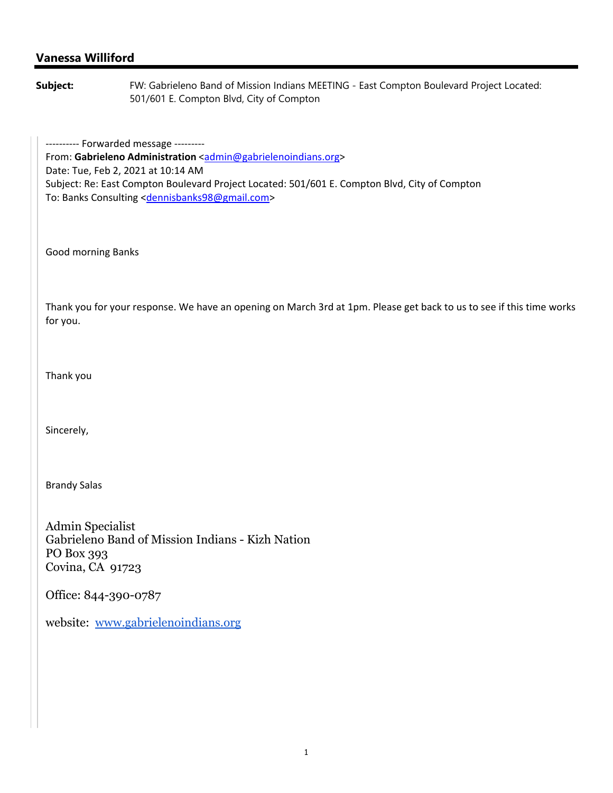## **Vanessa Williford**

**Subject:** FW: Gabrieleno Band of Mission Indians MEETING - East Compton Boulevard Project Located: 501/601 E. Compton Blvd, City of Compton

---------- Forwarded message ---------From: Gabrieleno Administration <admin@gabrielenoindians.org> Date: Tue, Feb 2, 2021 at 10:14 AM Subject: Re: East Compton Boulevard Project Located: 501/601 E. Compton Blvd, City of Compton To: Banks Consulting <dennisbanks98@gmail.com>

Good morning Banks

Thank you for your response. We have an opening on March 3rd at 1pm. Please get back to us to see if this time works for you.

Thank you

Sincerely,

Brandy Salas

Admin Specialist Gabrieleno Band of Mission Indians - Kizh Nation PO Box 393 Covina, CA 91723

Office: 844-390-0787

website: www.gabrielenoindians.org